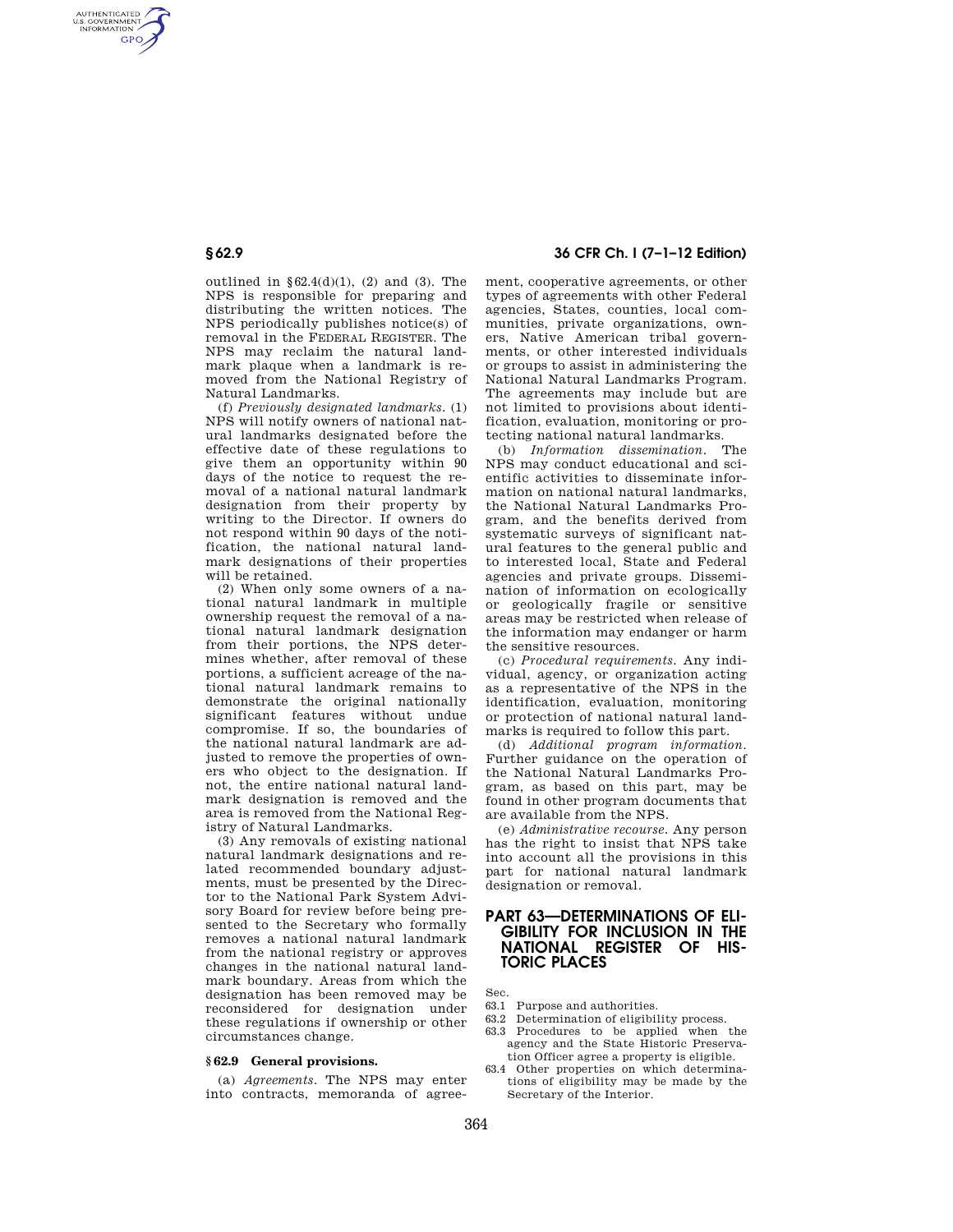AUTHENTICATED<br>U.S. GOVERNMENT<br>INFORMATION **GPO** 

> outlined in  $\S 62.4(d)(1)$ , (2) and (3). The NPS is responsible for preparing and distributing the written notices. The NPS periodically publishes notice(s) of removal in the FEDERAL REGISTER. The NPS may reclaim the natural landmark plaque when a landmark is removed from the National Registry of Natural Landmarks.

> (f) *Previously designated landmarks.* (1) NPS will notify owners of national natural landmarks designated before the effective date of these regulations to give them an opportunity within 90 days of the notice to request the removal of a national natural landmark designation from their property by writing to the Director. If owners do not respond within 90 days of the notification, the national natural landmark designations of their properties will be retained.

> (2) When only some owners of a national natural landmark in multiple ownership request the removal of a national natural landmark designation from their portions, the NPS determines whether, after removal of these portions, a sufficient acreage of the national natural landmark remains to demonstrate the original nationally significant features without undue compromise. If so, the boundaries of the national natural landmark are adjusted to remove the properties of owners who object to the designation. If not, the entire national natural landmark designation is removed and the area is removed from the National Registry of Natural Landmarks.

> (3) Any removals of existing national natural landmark designations and related recommended boundary adjustments, must be presented by the Director to the National Park System Advisory Board for review before being presented to the Secretary who formally removes a national natural landmark from the national registry or approves changes in the national natural landmark boundary. Areas from which the designation has been removed may be reconsidered for designation under these regulations if ownership or other circumstances change.

### **§ 62.9 General provisions.**

(a) *Agreements.* The NPS may enter into contracts, memoranda of agree-

# **§ 62.9 36 CFR Ch. I (7–1–12 Edition)**

ment, cooperative agreements, or other types of agreements with other Federal agencies, States, counties, local communities, private organizations, owners, Native American tribal governments, or other interested individuals or groups to assist in administering the National Natural Landmarks Program. The agreements may include but are not limited to provisions about identification, evaluation, monitoring or protecting national natural landmarks.

(b) *Information dissemination.* The NPS may conduct educational and scientific activities to disseminate information on national natural landmarks, the National Natural Landmarks Program, and the benefits derived from systematic surveys of significant natural features to the general public and to interested local, State and Federal agencies and private groups. Dissemination of information on ecologically or geologically fragile or sensitive areas may be restricted when release of the information may endanger or harm the sensitive resources.

(c) *Procedural requirements.* Any individual, agency, or organization acting as a representative of the NPS in the identification, evaluation, monitoring or protection of national natural landmarks is required to follow this part.

(d) *Additional program information.*  Further guidance on the operation of the National Natural Landmarks Program, as based on this part, may be found in other program documents that are available from the NPS.

(e) *Administrative recourse.* Any person has the right to insist that NPS take into account all the provisions in this part for national natural landmark designation or removal.

# **PART 63—DETERMINATIONS OF ELI-GIBILITY FOR INCLUSION IN THE NATIONAL REGISTER OF HIS-TORIC PLACES**

Sec.

- 63.1 Purpose and authorities.
- 63.2 Determination of eligibility process.
- 63.3 Procedures to be applied when the agency and the State Historic Preservation Officer agree a property is eligible.
- 63.4 Other properties on which determinations of eligibility may be made by the Secretary of the Interior.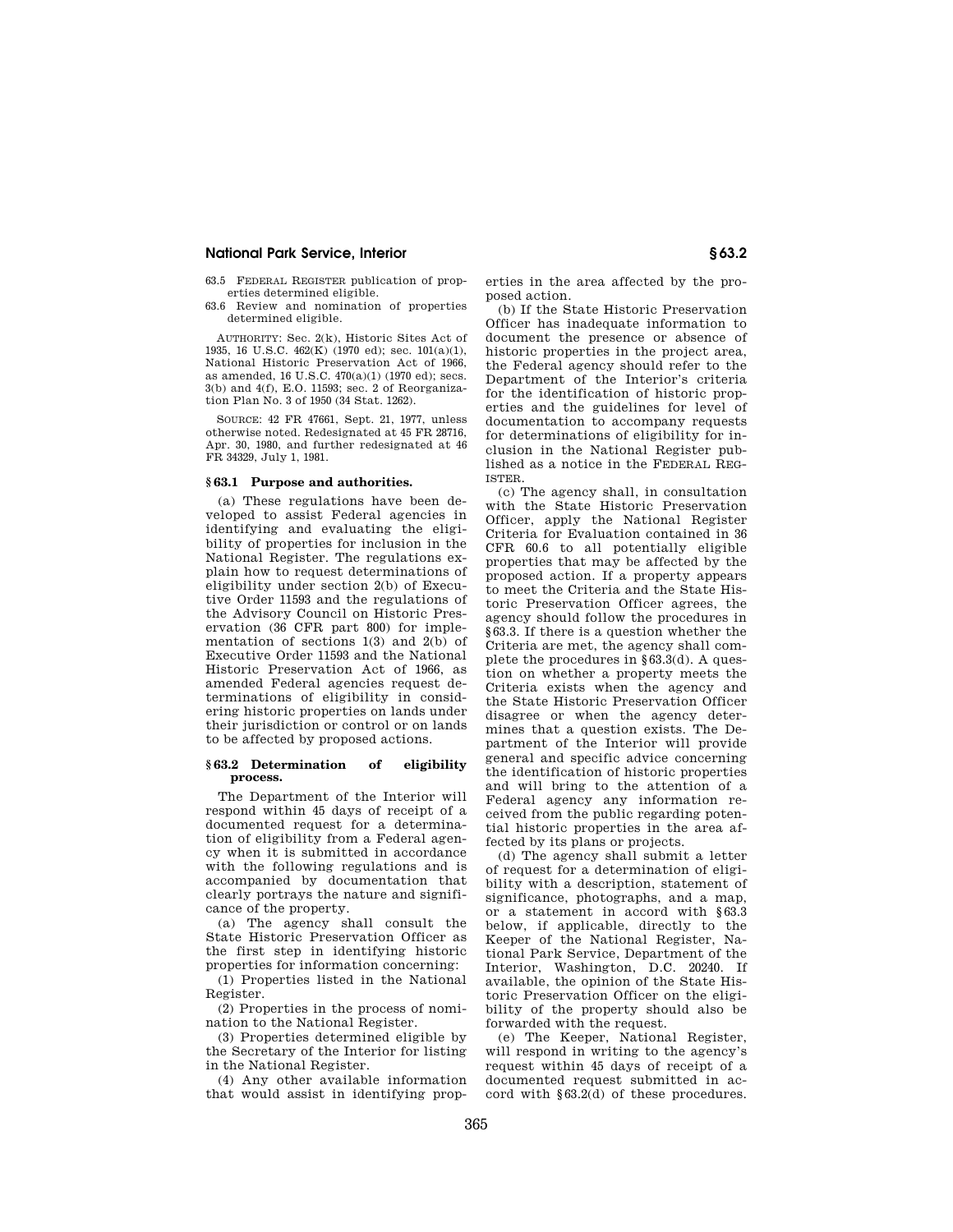## **National Park Service, Interior § 63.2**

63.5 FEDERAL REGISTER publication of properties determined eligible.

63.6 Review and nomination of properties determined eligible.

AUTHORITY: Sec. 2(k), Historic Sites Act of 1935, 16 U.S.C. 462(K) (1970 ed); sec. 101(a)(1), National Historic Preservation Act of 1966, as amended, 16 U.S.C. 470(a)(1) (1970 ed); secs. 3(b) and 4(f), E.O. 11593; sec. 2 of Reorganization Plan No. 3 of 1950 (34 Stat. 1262).

SOURCE: 42 FR 47661, Sept. 21, 1977, unless otherwise noted. Redesignated at 45 FR 28716, Apr. 30, 1980, and further redesignated at 46 FR 34329, July 1, 1981.

### **§ 63.1 Purpose and authorities.**

(a) These regulations have been developed to assist Federal agencies in identifying and evaluating the eligibility of properties for inclusion in the National Register. The regulations explain how to request determinations of eligibility under section 2(b) of Executive Order 11593 and the regulations of the Advisory Council on Historic Preservation (36 CFR part 800) for implementation of sections 1(3) and 2(b) of Executive Order 11593 and the National Historic Preservation Act of 1966, as amended Federal agencies request determinations of eligibility in considering historic properties on lands under their jurisdiction or control or on lands to be affected by proposed actions.

### **§ 63.2 Determination of eligibility process.**

The Department of the Interior will respond within 45 days of receipt of a documented request for a determination of eligibility from a Federal agency when it is submitted in accordance with the following regulations and is accompanied by documentation that clearly portrays the nature and significance of the property.

(a) The agency shall consult the State Historic Preservation Officer as the first step in identifying historic properties for information concerning:

(1) Properties listed in the National Register.

(2) Properties in the process of nomination to the National Register.

(3) Properties determined eligible by the Secretary of the Interior for listing in the National Register.

(4) Any other available information that would assist in identifying properties in the area affected by the proposed action.

(b) If the State Historic Preservation Officer has inadequate information to document the presence or absence of historic properties in the project area, the Federal agency should refer to the Department of the Interior's criteria for the identification of historic properties and the guidelines for level of documentation to accompany requests for determinations of eligibility for inclusion in the National Register published as a notice in the FEDERAL REG-ISTER.

(c) The agency shall, in consultation with the State Historic Preservation Officer, apply the National Register Criteria for Evaluation contained in 36 CFR 60.6 to all potentially eligible properties that may be affected by the proposed action. If a property appears to meet the Criteria and the State Historic Preservation Officer agrees, the agency should follow the procedures in §63.3. If there is a question whether the Criteria are met, the agency shall complete the procedures in §63.3(d). A question on whether a property meets the Criteria exists when the agency and the State Historic Preservation Officer disagree or when the agency determines that a question exists. The Department of the Interior will provide general and specific advice concerning the identification of historic properties and will bring to the attention of a Federal agency any information received from the public regarding potential historic properties in the area affected by its plans or projects.

(d) The agency shall submit a letter of request for a determination of eligibility with a description, statement of significance, photographs, and a map, or a statement in accord with §63.3 below, if applicable, directly to the Keeper of the National Register, National Park Service, Department of the Interior, Washington, D.C. 20240. If available, the opinion of the State Historic Preservation Officer on the eligibility of the property should also be forwarded with the request.

(e) The Keeper, National Register, will respond in writing to the agency's request within 45 days of receipt of a documented request submitted in accord with §63.2(d) of these procedures.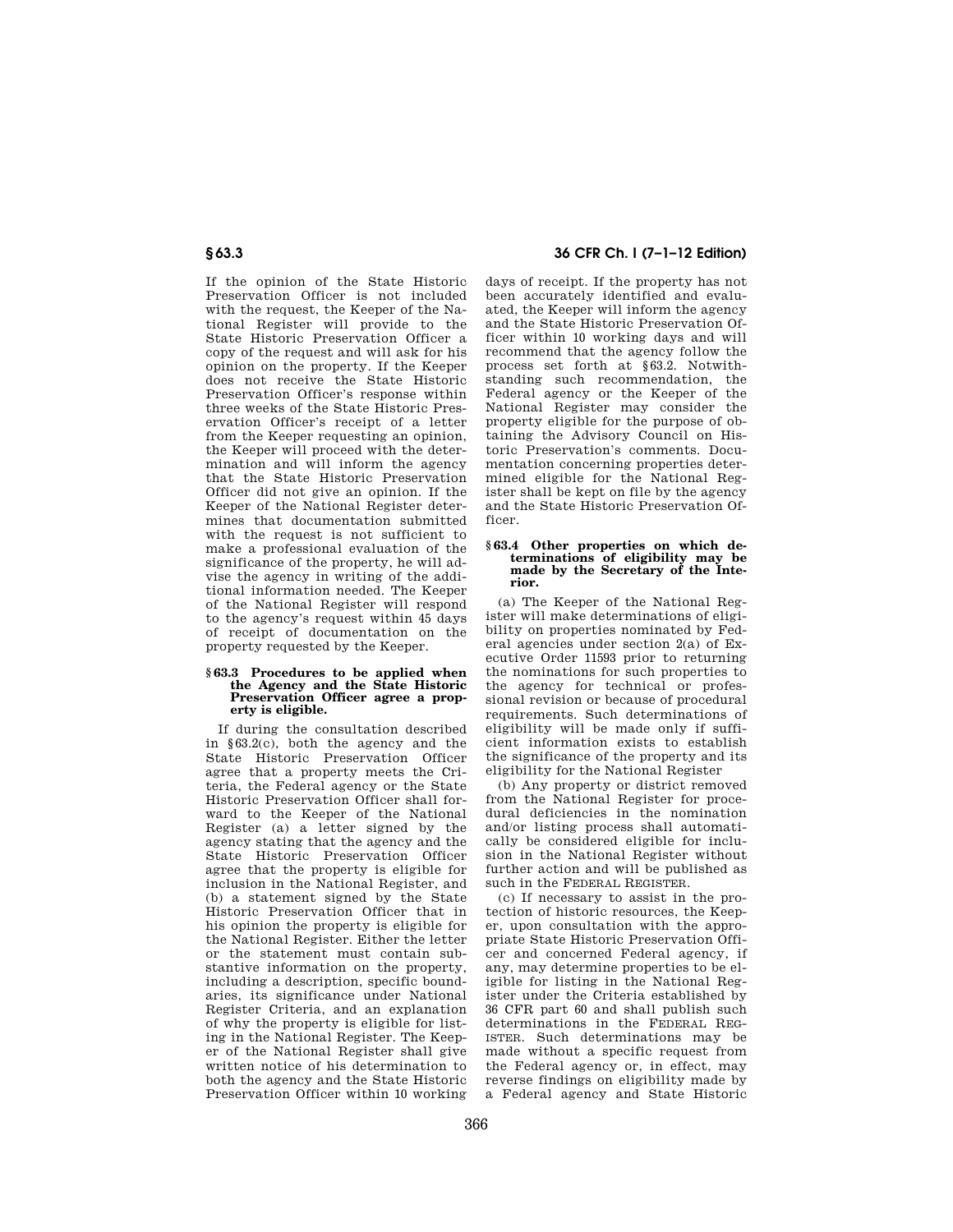If the opinion of the State Historic Preservation Officer is not included with the request, the Keeper of the National Register will provide to the State Historic Preservation Officer a copy of the request and will ask for his opinion on the property. If the Keeper does not receive the State Historic Preservation Officer's response within three weeks of the State Historic Preservation Officer's receipt of a letter from the Keeper requesting an opinion, the Keeper will proceed with the determination and will inform the agency that the State Historic Preservation Officer did not give an opinion. If the Keeper of the National Register determines that documentation submitted with the request is not sufficient to make a professional evaluation of the significance of the property, he will advise the agency in writing of the additional information needed. The Keeper of the National Register will respond to the agency's request within 45 days of receipt of documentation on the property requested by the Keeper.

#### **§ 63.3 Procedures to be applied when the Agency and the State Historic Preservation Officer agree a property is eligible.**

If during the consultation described in §63.2(c), both the agency and the State Historic Preservation Officer agree that a property meets the Criteria, the Federal agency or the State Historic Preservation Officer shall forward to the Keeper of the National Register (a) a letter signed by the agency stating that the agency and the State Historic Preservation Officer agree that the property is eligible for inclusion in the National Register, and (b) a statement signed by the State Historic Preservation Officer that in his opinion the property is eligible for the National Register. Either the letter or the statement must contain substantive information on the property, including a description, specific boundaries, its significance under National Register Criteria, and an explanation of why the property is eligible for listing in the National Register. The Keeper of the National Register shall give written notice of his determination to both the agency and the State Historic Preservation Officer within 10 working

# **§ 63.3 36 CFR Ch. I (7–1–12 Edition)**

days of receipt. If the property has not been accurately identified and evaluated, the Keeper will inform the agency and the State Historic Preservation Officer within 10 working days and will recommend that the agency follow the process set forth at §63.2. Notwithstanding such recommendation, the Federal agency or the Keeper of the National Register may consider the property eligible for the purpose of obtaining the Advisory Council on Historic Preservation's comments. Documentation concerning properties determined eligible for the National Register shall be kept on file by the agency and the State Historic Preservation Officer.

### **§ 63.4 Other properties on which determinations of eligibility may be made by the Secretary of the Interior.**

(a) The Keeper of the National Register will make determinations of eligibility on properties nominated by Federal agencies under section 2(a) of Executive Order 11593 prior to returning the nominations for such properties to the agency for technical or professional revision or because of procedural requirements. Such determinations of eligibility will be made only if sufficient information exists to establish the significance of the property and its eligibility for the National Register

(b) Any property or district removed from the National Register for procedural deficiencies in the nomination and/or listing process shall automatically be considered eligible for inclusion in the National Register without further action and will be published as such in the FEDERAL REGISTER.

(c) If necessary to assist in the protection of historic resources, the Keeper, upon consultation with the appropriate State Historic Preservation Officer and concerned Federal agency, if any, may determine properties to be eligible for listing in the National Register under the Criteria established by 36 CFR part 60 and shall publish such determinations in the FEDERAL REG-ISTER. Such determinations may be made without a specific request from the Federal agency or, in effect, may reverse findings on eligibility made by a Federal agency and State Historic